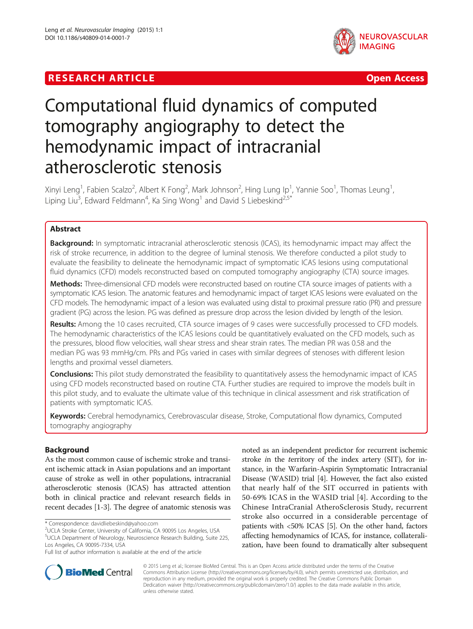## **RESEARCH ARTICLE EXECUTE: CONSIDERING A RESEARCH ARTICLE**





# Computational fluid dynamics of computed tomography angiography to detect the hemodynamic impact of intracranial atherosclerotic stenosis

Xinyi Leng<sup>1</sup>, Fabien Scalzo<sup>2</sup>, Albert K Fong<sup>2</sup>, Mark Johnson<sup>2</sup>, Hing Lung Ip<sup>1</sup>, Yannie Soo<sup>1</sup>, Thomas Leung<sup>1</sup> , Liping Liu<sup>3</sup>, Edward Feldmann<sup>4</sup>, Ka Sing Wong<sup>1</sup> and David S Liebeskind<sup>2,5\*</sup>

## Abstract

**Background:** In symptomatic intracranial atherosclerotic stenosis (ICAS), its hemodynamic impact may affect the risk of stroke recurrence, in addition to the degree of luminal stenosis. We therefore conducted a pilot study to evaluate the feasibility to delineate the hemodynamic impact of symptomatic ICAS lesions using computational fluid dynamics (CFD) models reconstructed based on computed tomography angiography (CTA) source images.

Methods: Three-dimensional CFD models were reconstructed based on routine CTA source images of patients with a symptomatic ICAS lesion. The anatomic features and hemodynamic impact of target ICAS lesions were evaluated on the CFD models. The hemodynamic impact of a lesion was evaluated using distal to proximal pressure ratio (PR) and pressure gradient (PG) across the lesion. PG was defined as pressure drop across the lesion divided by length of the lesion.

Results: Among the 10 cases recruited, CTA source images of 9 cases were successfully processed to CFD models. The hemodynamic characteristics of the ICAS lesions could be quantitatively evaluated on the CFD models, such as the pressures, blood flow velocities, wall shear stress and shear strain rates. The median PR was 0.58 and the median PG was 93 mmHg/cm. PRs and PGs varied in cases with similar degrees of stenoses with different lesion lengths and proximal vessel diameters.

Conclusions: This pilot study demonstrated the feasibility to quantitatively assess the hemodynamic impact of ICAS using CFD models reconstructed based on routine CTA. Further studies are required to improve the models built in this pilot study, and to evaluate the ultimate value of this technique in clinical assessment and risk stratification of patients with symptomatic ICAS.

Keywords: Cerebral hemodynamics, Cerebrovascular disease, Stroke, Computational flow dynamics, Computed tomography angiography

### Background

As the most common cause of ischemic stroke and transient ischemic attack in Asian populations and an important cause of stroke as well in other populations, intracranial atherosclerotic stenosis (ICAS) has attracted attention both in clinical practice and relevant research fields in recent decades [[1-3](#page-5-0)]. The degree of anatomic stenosis was

noted as an independent predictor for recurrent ischemic stroke in the territory of the index artery (SIT), for instance, in the Warfarin-Aspirin Symptomatic Intracranial Disease (WASID) trial [[4\]](#page-6-0). However, the fact also existed that nearly half of the SIT occurred in patients with 50-69% ICAS in the WASID trial [[4\]](#page-6-0). According to the Chinese IntraCranial AtheroSclerosis Study, recurrent stroke also occurred in a considerable percentage of patients with <50% ICAS [[5\]](#page-6-0). On the other hand, factors affecting hemodynamics of ICAS, for instance, collateralization, have been found to dramatically alter subsequent



© 2015 Leng et al.; licensee BioMed Central. This is an Open Access article distributed under the terms of the Creative Commons Attribution License [\(http://creativecommons.org/licenses/by/4.0\)](http://creativecommons.org/licenses/by/4.0), which permits unrestricted use, distribution, and reproduction in any medium, provided the original work is properly credited. The Creative Commons Public Domain Dedication waiver [\(http://creativecommons.org/publicdomain/zero/1.0/](http://creativecommons.org/publicdomain/zero/1.0/)) applies to the data made available in this article, unless otherwise stated.

<sup>\*</sup> Correspondence: [davidliebeskind@yahoo.com](mailto:davidliebeskind@yahoo.com) <sup>2</sup>

UCLA Stroke Center, University of California, CA 90095 Los Angeles, USA 5 UCLA Department of Neurology, Neuroscience Research Building, Suite 225, Los Angeles, CA 90095-7334, USA

Full list of author information is available at the end of the article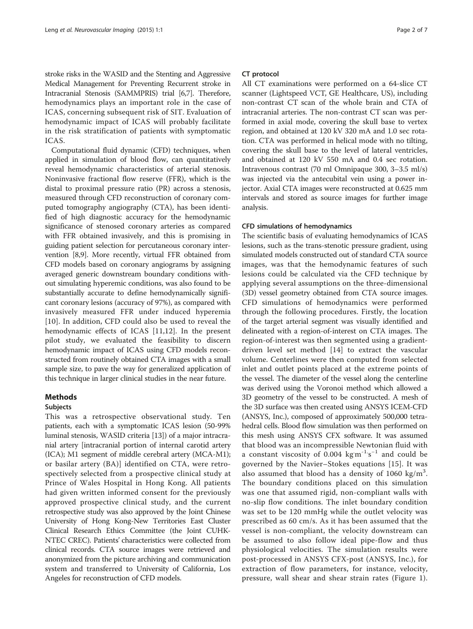stroke risks in the WASID and the Stenting and Aggressive Medical Management for Preventing Recurrent stroke in Intracranial Stenosis (SAMMPRIS) trial [\[6,7](#page-6-0)]. Therefore, hemodynamics plays an important role in the case of ICAS, concerning subsequent risk of SIT. Evaluation of hemodynamic impact of ICAS will probably facilitate in the risk stratification of patients with symptomatic ICAS.

Computational fluid dynamic (CFD) techniques, when applied in simulation of blood flow, can quantitatively reveal hemodynamic characteristics of arterial stenosis. Noninvasive fractional flow reserve (FFR), which is the distal to proximal pressure ratio (PR) across a stenosis, measured through CFD reconstruction of coronary computed tomography angiography (CTA), has been identified of high diagnostic accuracy for the hemodynamic significance of stenosed coronary arteries as compared with FFR obtained invasively, and this is promising in guiding patient selection for percutaneous coronary intervention [\[8,9](#page-6-0)]. More recently, virtual FFR obtained from CFD models based on coronary angiograms by assigning averaged generic downstream boundary conditions without simulating hyperemic conditions, was also found to be substantially accurate to define hemodynamically significant coronary lesions (accuracy of 97%), as compared with invasively measured FFR under induced hyperemia [[10](#page-6-0)]. In addition, CFD could also be used to reveal the hemodynamic effects of ICAS [\[11,12\]](#page-6-0). In the present pilot study, we evaluated the feasibility to discern hemodynamic impact of ICAS using CFD models reconstructed from routinely obtained CTA images with a small sample size, to pave the way for generalized application of this technique in larger clinical studies in the near future.

## Methods

#### Subjects

This was a retrospective observational study. Ten patients, each with a symptomatic ICAS lesion (50-99% luminal stenosis, WASID criteria [\[13\]](#page-6-0)) of a major intracranial artery [intracranial portion of internal carotid artery (ICA); M1 segment of middle cerebral artery (MCA-M1); or basilar artery (BA)] identified on CTA, were retrospectively selected from a prospective clinical study at Prince of Wales Hospital in Hong Kong. All patients had given written informed consent for the previously approved prospective clinical study, and the current retrospective study was also approved by the Joint Chinese University of Hong Kong-New Territories East Cluster Clinical Research Ethics Committee (the Joint CUHK-NTEC CREC). Patients' characteristics were collected from clinical records. CTA source images were retrieved and anonymized from the picture archiving and communication system and transferred to University of California, Los Angeles for reconstruction of CFD models.

#### CT protocol

All CT examinations were performed on a 64-slice CT scanner (Lightspeed VCT, GE Healthcare, US), including non-contrast CT scan of the whole brain and CTA of intracranial arteries. The non-contrast CT scan was performed in axial mode, covering the skull base to vertex region, and obtained at 120 kV 320 mA and 1.0 sec rotation. CTA was performed in helical mode with no tilting, covering the skull base to the level of lateral ventricles, and obtained at 120 kV 550 mA and 0.4 sec rotation. Intravenous contrast (70 ml Omnipaque 300, 3–3.5 ml/s) was injected via the antecubital vein using a power injector. Axial CTA images were reconstructed at 0.625 mm intervals and stored as source images for further image analysis.

#### CFD simulations of hemodynamics

The scientific basis of evaluating hemodynamics of ICAS lesions, such as the trans-stenotic pressure gradient, using simulated models constructed out of standard CTA source images, was that the hemodynamic features of such lesions could be calculated via the CFD technique by applying several assumptions on the three-dimensional (3D) vessel geometry obtained from CTA source images. CFD simulations of hemodynamics were performed through the following procedures. Firstly, the location of the target arterial segment was visually identified and delineated with a region-of-interest on CTA images. The region-of-interest was then segmented using a gradientdriven level set method [[14](#page-6-0)] to extract the vascular volume. Centerlines were then computed from selected inlet and outlet points placed at the extreme points of the vessel. The diameter of the vessel along the centerline was derived using the Voronoi method which allowed a 3D geometry of the vessel to be constructed. A mesh of the 3D surface was then created using ANSYS ICEM-CFD (ANSYS, Inc.), composed of approximately 500,000 tetrahedral cells. Blood flow simulation was then performed on this mesh using ANSYS CFX software. It was assumed that blood was an incompressible Newtonian fluid with a constant viscosity of  $0.004~\text{kg m}^{-1} \text{ s}^{-1}$  and could be governed by the Navier–Stokes equations [[15\]](#page-6-0). It was also assumed that blood has a density of  $1060 \text{ kg/m}^3$ . The boundary conditions placed on this simulation was one that assumed rigid, non-compliant walls with no-slip flow conditions. The inlet boundary condition was set to be 120 mmHg while the outlet velocity was prescribed as 60 cm/s. As it has been assumed that the vessel is non-compliant, the velocity downstream can be assumed to also follow ideal pipe-flow and thus physiological velocities. The simulation results were post-processed in ANSYS CFX-post (ANSYS, Inc.), for extraction of flow parameters, for instance, velocity, pressure, wall shear and shear strain rates (Figure [1](#page-2-0)).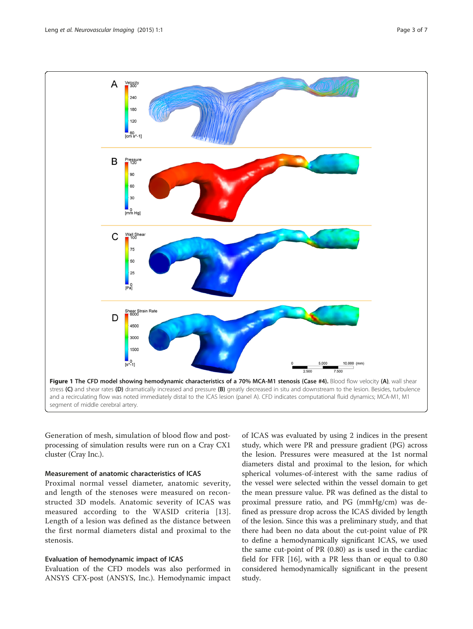<span id="page-2-0"></span>

Generation of mesh, simulation of blood flow and postprocessing of simulation results were run on a Cray CX1 cluster (Cray Inc.).

#### Measurement of anatomic characteristics of ICAS

Proximal normal vessel diameter, anatomic severity, and length of the stenoses were measured on reconstructed 3D models. Anatomic severity of ICAS was measured according to the WASID criteria [[13](#page-6-0)]. Length of a lesion was defined as the distance between the first normal diameters distal and proximal to the stenosis.

#### Evaluation of hemodynamic impact of ICAS

Evaluation of the CFD models was also performed in ANSYS CFX-post (ANSYS, Inc.). Hemodynamic impact of ICAS was evaluated by using 2 indices in the present study, which were PR and pressure gradient (PG) across the lesion. Pressures were measured at the 1st normal diameters distal and proximal to the lesion, for which spherical volumes-of-interest with the same radius of the vessel were selected within the vessel domain to get the mean pressure value. PR was defined as the distal to proximal pressure ratio, and PG (mmHg/cm) was defined as pressure drop across the ICAS divided by length of the lesion. Since this was a preliminary study, and that there had been no data about the cut-point value of PR to define a hemodynamically significant ICAS, we used the same cut-point of PR (0.80) as is used in the cardiac field for FFR [\[16](#page-6-0)], with a PR less than or equal to 0.80 considered hemodynamically significant in the present study.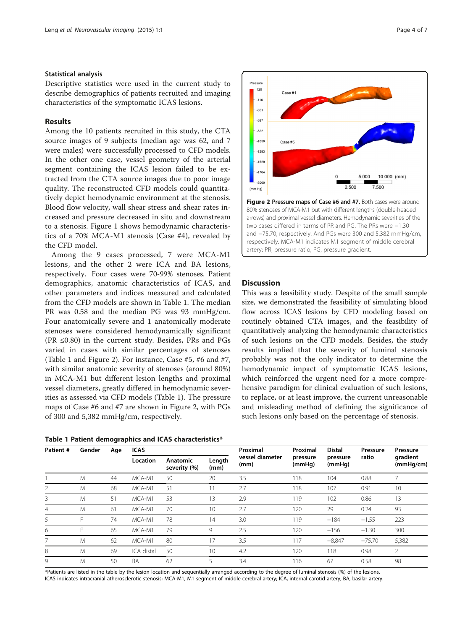#### Statistical analysis

Descriptive statistics were used in the current study to describe demographics of patients recruited and imaging characteristics of the symptomatic ICAS lesions.

#### Results

Among the 10 patients recruited in this study, the CTA source images of 9 subjects (median age was 62, and 7 were males) were successfully processed to CFD models. In the other one case, vessel geometry of the arterial segment containing the ICAS lesion failed to be extracted from the CTA source images due to poor image quality. The reconstructed CFD models could quantitatively depict hemodynamic environment at the stenosis. Blood flow velocity, wall shear stress and shear rates increased and pressure decreased in situ and downstream to a stenosis. Figure [1](#page-2-0) shows hemodynamic characteristics of a 70% MCA-M1 stenosis (Case #4), revealed by the CFD model.

Among the 9 cases processed, 7 were MCA-M1 lesions, and the other 2 were ICA and BA lesions, respectively. Four cases were 70-99% stenoses. Patient demographics, anatomic characteristics of ICAS, and other parameters and indices measured and calculated from the CFD models are shown in Table 1. The median PR was 0.58 and the median PG was 93 mmHg/cm. Four anatomically severe and 1 anatomically moderate stenoses were considered hemodynamically significant (PR ≤0.80) in the current study. Besides, PRs and PGs varied in cases with similar percentages of stenoses (Table 1 and Figure 2). For instance, Case #5, #6 and #7, with similar anatomic severity of stenoses (around 80%) in MCA-M1 but different lesion lengths and proximal vessel diameters, greatly differed in hemodynamic severities as assessed via CFD models (Table 1). The pressure maps of Case #6 and #7 are shown in Figure 2, with PGs of 300 and 5,382 mmHg/cm, respectively.

Table 1 Patient demographics and ICAS characteristics\*



Figure 2 Pressure maps of Case #6 and #7. Both cases were around 80% stenoses of MCA-M1 but with different lengths (double-headed arrows) and proximal vessel diameters. Hemodynamic severities of the two cases differed in terms of PR and PG. The PRs were −1.30 and −75.70, respectively. And PGs were 300 and 5,382 mmHg/cm, respectively. MCA-M1 indicates M1 segment of middle cerebral artery; PR, pressure ratio; PG, pressure gradient.

#### **Discussion**

This was a feasibility study. Despite of the small sample size, we demonstrated the feasibility of simulating blood flow across ICAS lesions by CFD modeling based on routinely obtained CTA images, and the feasibility of quantitatively analyzing the hemodynamic characteristics of such lesions on the CFD models. Besides, the study results implied that the severity of luminal stenosis probably was not the only indicator to determine the hemodynamic impact of symptomatic ICAS lesions, which reinforced the urgent need for a more comprehensive paradigm for clinical evaluation of such lesions, to replace, or at least improve, the current unreasonable and misleading method of defining the significance of such lesions only based on the percentage of stenosis.

| Patient # | Gender | Age | <b>ICAS</b> |                          |                | Proximal                | Proximal           | <b>Distal</b>      | Pressure | Pressure              |
|-----------|--------|-----|-------------|--------------------------|----------------|-------------------------|--------------------|--------------------|----------|-----------------------|
|           |        |     | Location    | Anatomic<br>severity (%) | Length<br>(mm) | vessel diameter<br>(mm) | pressure<br>(mmHq) | pressure<br>(mmHq) | ratio    | gradient<br>(mmHg/cm) |
|           | M      | 44  | MCA-M1      | 50                       | 20             | 3.5                     | 118                | 104                | 0.88     | 7                     |
| 2         | M      | 68  | MCA-M1      | 51                       | 11             | 2.7                     | 118                | 107                | 0.91     | 10                    |
| 3         | M      | 51  | MCA-M1      | 53                       | 13             | 2.9                     | 119                | 102                | 0.86     | 13                    |
| 4         | M      | 61  | MCA-M1      | 70                       | 10             | 2.7                     | 120                | 29                 | 0.24     | 93                    |
| 5         | F      | 74  | MCA-M1      | 78                       | 14             | 3.0                     | 119                | $-184$             | $-1.55$  | 223                   |
| 6         | F      | 65  | MCA-M1      | 79                       | 9              | 2.5                     | 120                | $-156$             | $-1.30$  | 300                   |
| 7         | M      | 62  | MCA-M1      | 80                       | 17             | 3.5                     | 117                | $-8,847$           | $-75.70$ | 5,382                 |
| 8         | M      | 69  | ICA distal  | 50                       | 10             | 4.2                     | 120                | 118                | 0.98     | 2                     |
| 9         | M      | 50  | <b>BA</b>   | 62                       | 5              | 3.4                     | 116                | 67                 | 0.58     | 98                    |

\*Patients are listed in the table by the lesion location and sequentially arranged according to the degree of luminal stenosis (%) of the lesions. ICAS indicates intracranial atherosclerotic stenosis; MCA-M1, M1 segment of middle cerebral artery; ICA, internal carotid artery; BA, basilar artery.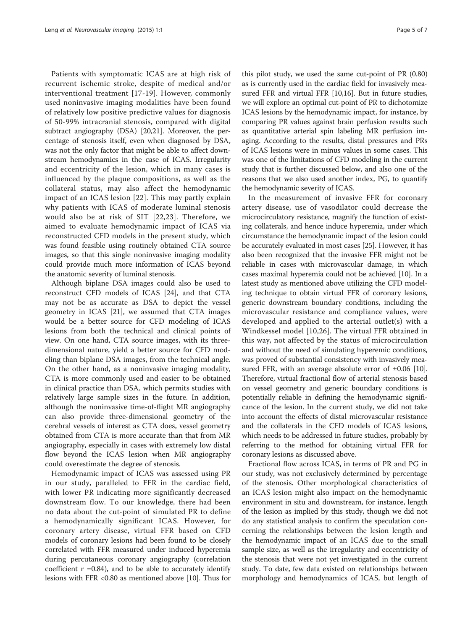Patients with symptomatic ICAS are at high risk of recurrent ischemic stroke, despite of medical and/or interventional treatment [[17](#page-6-0)-[19](#page-6-0)]. However, commonly used noninvasive imaging modalities have been found of relatively low positive predictive values for diagnosis of 50-99% intracranial stenosis, compared with digital subtract angiography (DSA) [\[20,21\]](#page-6-0). Moreover, the percentage of stenosis itself, even when diagnosed by DSA, was not the only factor that might be able to affect downstream hemodynamics in the case of ICAS. Irregularity and eccentricity of the lesion, which in many cases is influenced by the plaque compositions, as well as the collateral status, may also affect the hemodynamic impact of an ICAS lesion [[22](#page-6-0)]. This may partly explain why patients with ICAS of moderate luminal stenosis would also be at risk of SIT [[22](#page-6-0),[23\]](#page-6-0). Therefore, we aimed to evaluate hemodynamic impact of ICAS via reconstructed CFD models in the present study, which was found feasible using routinely obtained CTA source images, so that this single noninvasive imaging modality could provide much more information of ICAS beyond the anatomic severity of luminal stenosis.

Although biplane DSA images could also be used to reconstruct CFD models of ICAS [[24\]](#page-6-0), and that CTA may not be as accurate as DSA to depict the vessel geometry in ICAS [[21\]](#page-6-0), we assumed that CTA images would be a better source for CFD modeling of ICAS lesions from both the technical and clinical points of view. On one hand, CTA source images, with its threedimensional nature, yield a better source for CFD modeling than biplane DSA images, from the technical angle. On the other hand, as a noninvasive imaging modality, CTA is more commonly used and easier to be obtained in clinical practice than DSA, which permits studies with relatively large sample sizes in the future. In addition, although the noninvasive time-of-flight MR angiography can also provide three-dimensional geometry of the cerebral vessels of interest as CTA does, vessel geometry obtained from CTA is more accurate than that from MR angiography, especially in cases with extremely low distal flow beyond the ICAS lesion when MR angiography could overestimate the degree of stenosis.

Hemodynamic impact of ICAS was assessed using PR in our study, paralleled to FFR in the cardiac field, with lower PR indicating more significantly decreased downstream flow. To our knowledge, there had been no data about the cut-point of simulated PR to define a hemodynamically significant ICAS. However, for coronary artery disease, virtual FFR based on CFD models of coronary lesions had been found to be closely correlated with FFR measured under induced hyperemia during percutaneous coronary angiography (correlation coefficient  $r = 0.84$ ), and to be able to accurately identify lesions with FFR <0.80 as mentioned above [[10](#page-6-0)]. Thus for

this pilot study, we used the same cut-point of PR (0.80) as is currently used in the cardiac field for invasively measured FFR and virtual FFR [\[10,16](#page-6-0)]. But in future studies, we will explore an optimal cut-point of PR to dichotomize ICAS lesions by the hemodynamic impact, for instance, by comparing PR values against brain perfusion results such as quantitative arterial spin labeling MR perfusion imaging. According to the results, distal pressures and PRs of ICAS lesions were in minus values in some cases. This was one of the limitations of CFD modeling in the current study that is further discussed below, and also one of the reasons that we also used another index, PG, to quantify the hemodynamic severity of ICAS.

In the measurement of invasive FFR for coronary artery disease, use of vasodilator could decrease the microcirculatory resistance, magnify the function of existing collaterals, and hence induce hyperemia, under which circumstance the hemodynamic impact of the lesion could be accurately evaluated in most cases [\[25](#page-6-0)]. However, it has also been recognized that the invasive FFR might not be reliable in cases with microvascular damage, in which cases maximal hyperemia could not be achieved [[10\]](#page-6-0). In a latest study as mentioned above utilizing the CFD modeling technique to obtain virtual FFR of coronary lesions, generic downstream boundary conditions, including the microvascular resistance and compliance values, were developed and applied to the arterial outlet(s) with a Windkessel model [\[10](#page-6-0),[26\]](#page-6-0). The virtual FFR obtained in this way, not affected by the status of microcirculation and without the need of simulating hyperemic conditions, was proved of substantial consistency with invasively measured FFR, with an average absolute error of  $\pm 0.06$  [[10](#page-6-0)]. Therefore, virtual fractional flow of arterial stenosis based on vessel geometry and generic boundary conditions is potentially reliable in defining the hemodynamic significance of the lesion. In the current study, we did not take into account the effects of distal microvascular resistance and the collaterals in the CFD models of ICAS lesions, which needs to be addressed in future studies, probably by referring to the method for obtaining virtual FFR for coronary lesions as discussed above.

Fractional flow across ICAS, in terms of PR and PG in our study, was not exclusively determined by percentage of the stenosis. Other morphological characteristics of an ICAS lesion might also impact on the hemodynamic environment in situ and downstream, for instance, length of the lesion as implied by this study, though we did not do any statistical analysis to confirm the speculation concerning the relationships between the lesion length and the hemodynamic impact of an ICAS due to the small sample size, as well as the irregularity and eccentricity of the stenosis that were not yet investigated in the current study. To date, few data existed on relationships between morphology and hemodynamics of ICAS, but length of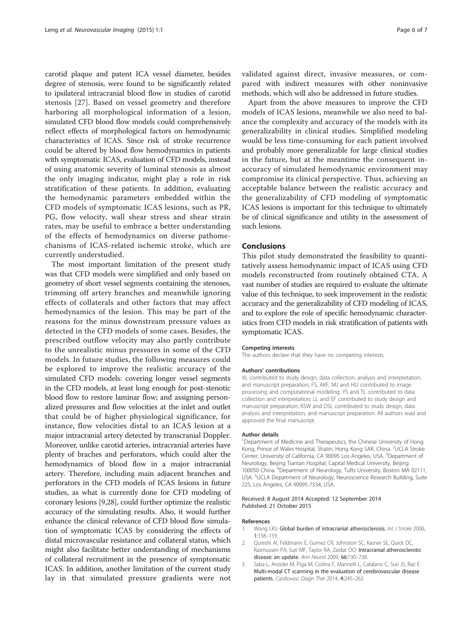<span id="page-5-0"></span>carotid plaque and patent ICA vessel diameter, besides degree of stenosis, were found to be significantly related to ipsilateral intracranial blood flow in studies of carotid stenosis [\[27\]](#page-6-0). Based on vessel geometry and therefore harboring all morphological information of a lesion, simulated CFD blood flow models could comprehensively reflect effects of morphological factors on hemodynamic characteristics of ICAS. Since risk of stroke recurrence could be altered by blood flow hemodynamics in patients with symptomatic ICAS, evaluation of CFD models, instead of using anatomic severity of luminal stenosis as almost the only imaging indicator, might play a role in risk stratification of these patients. In addition, evaluating the hemodynamic parameters embedded within the CFD models of symptomatic ICAS lesions, such as PR, PG, flow velocity, wall shear stress and shear strain rates, may be useful to embrace a better understanding of the effects of hemodynamics on diverse pathomechanisms of ICAS-related ischemic stroke, which are currently understudied.

The most important limitation of the present study was that CFD models were simplified and only based on geometry of short vessel segments containing the stenoses, trimming off artery branches and meanwhile ignoring effects of collaterals and other factors that may affect hemodynamics of the lesion. This may be part of the reasons for the minus downstream pressure values as detected in the CFD models of some cases. Besides, the prescribed outflow velocity may also partly contribute to the unrealistic minus pressures in some of the CFD models. In future studies, the following measures could be explored to improve the realistic accuracy of the simulated CFD models: covering longer vessel segments in the CFD models, at least long enough for post-stenotic blood flow to restore laminar flow; and assigning personalized pressures and flow velocities at the inlet and outlet that could be of higher physiological significance, for instance, flow velocities distal to an ICAS lesion at a major intracranial artery detected by transcranial Doppler. Moreover, unlike carotid arteries, intracranial arteries have plenty of braches and perforators, which could alter the hemodynamics of blood flow in a major intracranial artery. Therefore, including main adjacent branches and perforators in the CFD models of ICAS lesions in future studies, as what is currently done for CFD modeling of coronary lesions [[9,28](#page-6-0)], could further optimize the realistic accuracy of the simulating results. Also, it would further enhance the clinical relevance of CFD blood flow simulation of symptomatic ICAS by considering the effects of distal microvascular resistance and collateral status, which might also facilitate better understanding of mechanisms of collateral recruitment in the presence of symptomatic ICAS. In addition, another limitation of the current study lay in that simulated pressure gradients were not

validated against direct, invasive measures, or compared with indirect measures with other noninvasive methods, which will also be addressed in future studies.

Apart from the above measures to improve the CFD models of ICAS lesions, meanwhile we also need to balance the complexity and accuracy of the models with its generalizability in clinical studies. Simplified modeling would be less time-consuming for each patient involved and probably more generalizable for large clinical studies in the future, but at the meantime the consequent inaccuracy of simulated hemodynamic environment may compromise its clinical perspective. Thus, achieving an acceptable balance between the realistic accuracy and the generalizability of CFD modeling of symptomatic ICAS lesions is important for this technique to ultimately be of clinical significance and utility in the assessment of such lesions.

#### Conclusions

This pilot study demonstrated the feasibility to quantitatively assess hemodynamic impact of ICAS using CFD models reconstructed from routinely obtained CTA. A vast number of studies are required to evaluate the ultimate value of this technique, to seek improvement in the realistic accuracy and the generalizability of CFD modeling of ICAS, and to explore the role of specific hemodynamic characteristics from CFD models in risk stratification of patients with symptomatic ICAS.

#### Competing interests

The authors declare that they have no competing interests.

#### Authors' contributions

XL contributed to study design, data collection, analysis and interpretation, and manuscript preparation; FS, AKF, MJ and HLI contributed to image processing and computational modeling; YS and TL contributed to data collection and interpretation; LL and EF contributed to study design and manuscript preparation; KSW and DSL contributed to study design, data analysis and interpretation, and manuscript preparation. All authors read and approved the final manuscript.

#### Author details

<sup>1</sup>Department of Medicine and Therapeutics, the Chinese University of Hong Kong, Prince of Wales Hospital, Shatin, Hong Kong SAR, China. <sup>2</sup>UCLA Stroke Center, University of California, CA 90095 Los Angeles, USA. <sup>3</sup>Department of Neurology, Beijing Tiantan Hospital, Capital Medical University, Beijing 100050 China. <sup>4</sup> Department of Neurology, Tufts University, Boston MA 02111, USA. <sup>5</sup>UCLA Department of Neurology, Neuroscience Research Building, Suite 225, Los Angeles, CA 90095-7334, USA.

#### Received: 8 August 2014 Accepted: 12 September 2014 Published: 21 October 2015

#### References

- 1. Wong LKS: Global burden of intracranial atherosclerosis. Int J Stroke 2006, 1:158–159.
- 2. Qureshi AI, Feldmann E, Gomez CR, Johnston SC, Kasner SE, Quick DC, Rasmussen PA, Suri MF, Taylor RA, Zaidat OO: Intracranial atherosclerotic disease: an update. Ann Neurol 2009, 66:730–738.
- 3. Saba L, Anzidei M, Piga M, Ciolina F, Mannelli L, Catalano C, Suri JS, Raz E: Multi-modal CT scanning in the evaluation of cerebrovascular disease patients. Cardiovasc Diagn Ther 2014, 4:245-262.